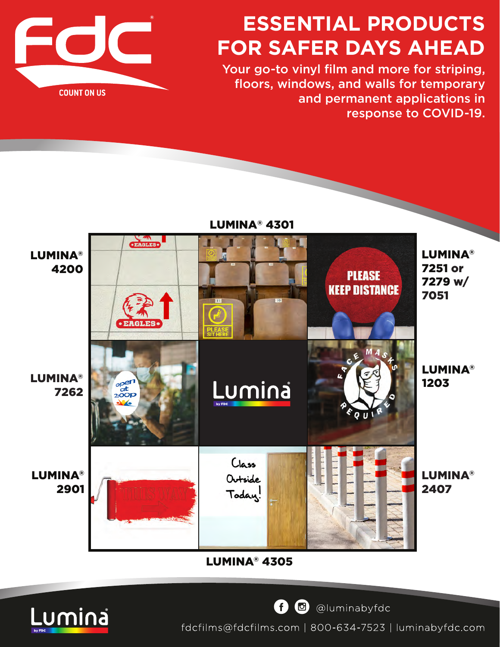

# **ESSENTIAL PRODUCTS FOR SAFER DAYS AHEAD**

Your go-to vinyl film and more for striping, floors, windows, and walls for temporary and permanent applications in response to COVID-19.



[LUMINA® 4305](https://www.fdcfilms.com/product/lumina-promotional-dry-erase-vinyl-film/)



O c @luminabyfdc

fdcfilms@fdcfilms.com | 800-634-7523 | luminabyfdc.com